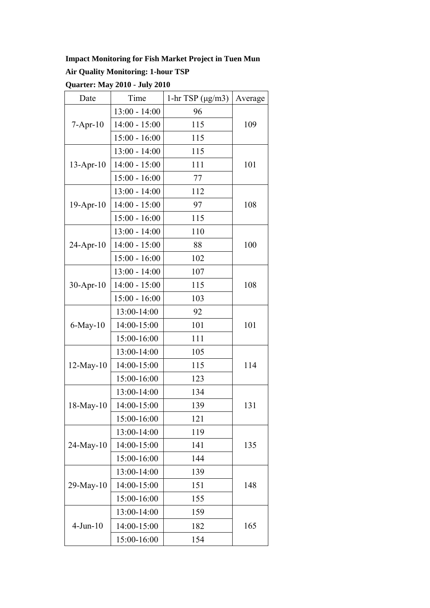## **Impact Monitoring for Fish Market Project in Tuen Mun**

## **Air Quality Monitoring: 1-hour TSP**

**Quarter: May 2010 - July 2010** 

| Date            | Time            | 1-hr TSP $(\mu g/m3)$ | Average |
|-----------------|-----------------|-----------------------|---------|
| $7 - Apr-10$    | $13:00 - 14:00$ | 96                    |         |
|                 | $14:00 - 15:00$ | 115                   | 109     |
|                 | $15:00 - 16:00$ | 115                   |         |
| $13$ -Apr-10    | $13:00 - 14:00$ | 115                   |         |
|                 | $14:00 - 15:00$ | 111                   | 101     |
|                 | $15:00 - 16:00$ | 77                    |         |
|                 | $13:00 - 14:00$ | 112                   |         |
| $19$ -Apr- $10$ | $14:00 - 15:00$ | 97                    | 108     |
|                 | $15:00 - 16:00$ | 115                   |         |
|                 | $13:00 - 14:00$ | 110                   | 100     |
| 24-Apr-10       | $14:00 - 15:00$ | 88                    |         |
|                 | $15:00 - 16:00$ | 102                   |         |
|                 | $13:00 - 14:00$ | 107                   |         |
| $30-Apr-10$     | $14:00 - 15:00$ | 115                   | 108     |
|                 | $15:00 - 16:00$ | 103                   |         |
|                 | 13:00-14:00     | 92                    |         |
| $6$ -May-10     | 14:00-15:00     | 101                   | 101     |
|                 | 15:00-16:00     | 111                   |         |
|                 | 13:00-14:00     | 105                   | 114     |
| $12$ -May- $10$ | 14:00-15:00     | 115                   |         |
|                 | 15:00-16:00     | 123                   |         |
|                 | 13:00-14:00     | 134                   | 131     |
| $18$ -May- $10$ | 14:00-15:00     | 139                   |         |
|                 | 15:00-16:00     | 121                   |         |
| $24$ -May- $10$ | 13:00-14:00     | 119                   |         |
|                 | 14:00-15:00     | 141                   | 135     |
|                 | 15:00-16:00     | 144                   |         |
| $29-May-10$     | 13:00-14:00     | 139                   |         |
|                 | 14:00-15:00     | 151                   | 148     |
|                 | 15:00-16:00     | 155                   |         |
| $4-Jun-10$      | 13:00-14:00     | 159                   |         |
|                 | 14:00-15:00     | 182                   | 165     |
|                 | 15:00-16:00     | 154                   |         |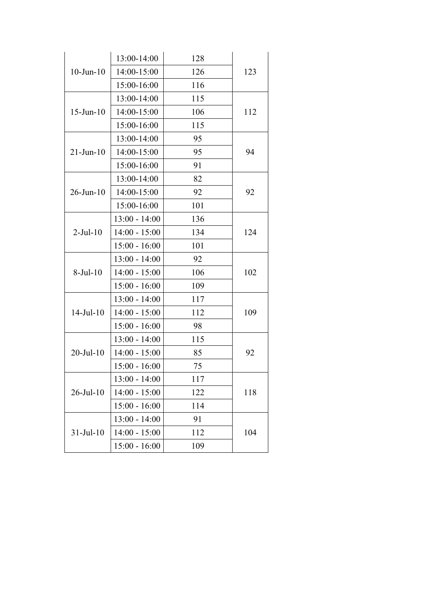| $10$ -Jun- $10$  | 13:00-14:00     | 128 |     |
|------------------|-----------------|-----|-----|
|                  | 14:00-15:00     | 126 | 123 |
|                  | 15:00-16:00     | 116 |     |
| $15$ -Jun- $10$  | 13:00-14:00     | 115 |     |
|                  | 14:00-15:00     | 106 | 112 |
|                  | 15:00-16:00     | 115 |     |
|                  | 13:00-14:00     | 95  |     |
| $21$ -Jun- $10$  | 14:00-15:00     | 95  | 94  |
|                  | 15:00-16:00     | 91  |     |
|                  | 13:00-14:00     | 82  |     |
| $26$ -Jun- $10$  | 14:00-15:00     | 92  | 92  |
|                  | 15:00-16:00     | 101 |     |
|                  | $13:00 - 14:00$ | 136 |     |
| $2-Jul-10$       | $14:00 - 15:00$ | 134 | 124 |
|                  | $15:00 - 16:00$ | 101 |     |
| $8-Jul-10$       | $13:00 - 14:00$ | 92  |     |
|                  | $14:00 - 15:00$ | 106 | 102 |
|                  | $15:00 - 16:00$ | 109 |     |
|                  | $13:00 - 14:00$ | 117 |     |
| $14$ -Jul- $10$  | $14:00 - 15:00$ | 112 | 109 |
|                  | $15:00 - 16:00$ | 98  |     |
| $20$ -Jul- $10$  | $13:00 - 14:00$ | 115 |     |
|                  | $14:00 - 15:00$ | 85  | 92  |
|                  | $15:00 - 16:00$ | 75  |     |
| $26$ -Jul- $10$  | $13:00 - 14:00$ | 117 |     |
|                  | $14:00 - 15:00$ | 122 | 118 |
|                  | $15:00 - 16:00$ | 114 |     |
| $31 -$ Jul $-10$ | $13:00 - 14:00$ | 91  | 104 |
|                  | $14:00 - 15:00$ | 112 |     |
|                  | $15:00 - 16:00$ | 109 |     |